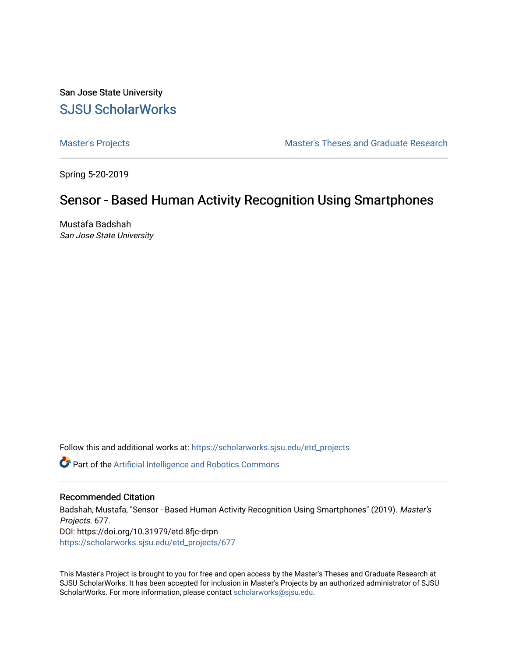San Jose State University [SJSU ScholarWorks](https://scholarworks.sjsu.edu/) 

[Master's Projects](https://scholarworks.sjsu.edu/etd_projects) [Master's Theses and Graduate Research](https://scholarworks.sjsu.edu/etd) 

Spring 5-20-2019

# Sensor - Based Human Activity Recognition Using Smartphones

Mustafa Badshah San Jose State University

Follow this and additional works at: [https://scholarworks.sjsu.edu/etd\\_projects](https://scholarworks.sjsu.edu/etd_projects?utm_source=scholarworks.sjsu.edu%2Fetd_projects%2F677&utm_medium=PDF&utm_campaign=PDFCoverPages)  Part of the [Artificial Intelligence and Robotics Commons](http://network.bepress.com/hgg/discipline/143?utm_source=scholarworks.sjsu.edu%2Fetd_projects%2F677&utm_medium=PDF&utm_campaign=PDFCoverPages) 

### Recommended Citation

Badshah, Mustafa, "Sensor - Based Human Activity Recognition Using Smartphones" (2019). Master's Projects. 677. DOI: https://doi.org/10.31979/etd.8fjc-drpn [https://scholarworks.sjsu.edu/etd\\_projects/677](https://scholarworks.sjsu.edu/etd_projects/677?utm_source=scholarworks.sjsu.edu%2Fetd_projects%2F677&utm_medium=PDF&utm_campaign=PDFCoverPages) 

This Master's Project is brought to you for free and open access by the Master's Theses and Graduate Research at SJSU ScholarWorks. It has been accepted for inclusion in Master's Projects by an authorized administrator of SJSU ScholarWorks. For more information, please contact [scholarworks@sjsu.edu](mailto:scholarworks@sjsu.edu).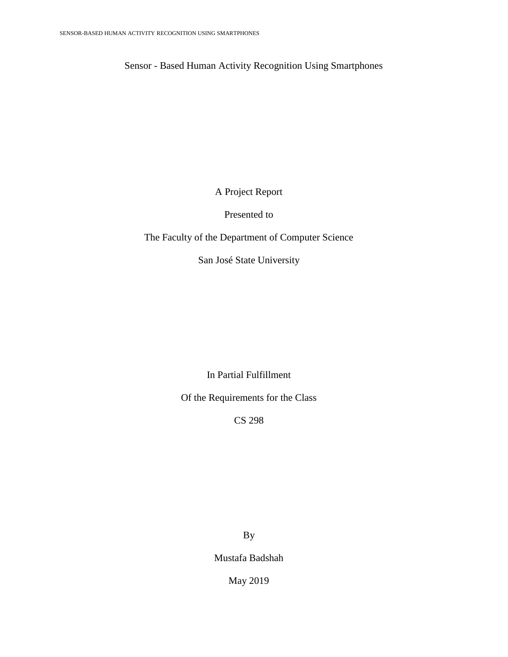Sensor - Based Human Activity Recognition Using Smartphones

A Project Report

Presented to

The Faculty of the Department of Computer Science

San José State University

In Partial Fulfillment

Of the Requirements for the Class

CS 298

By

Mustafa Badshah

May 2019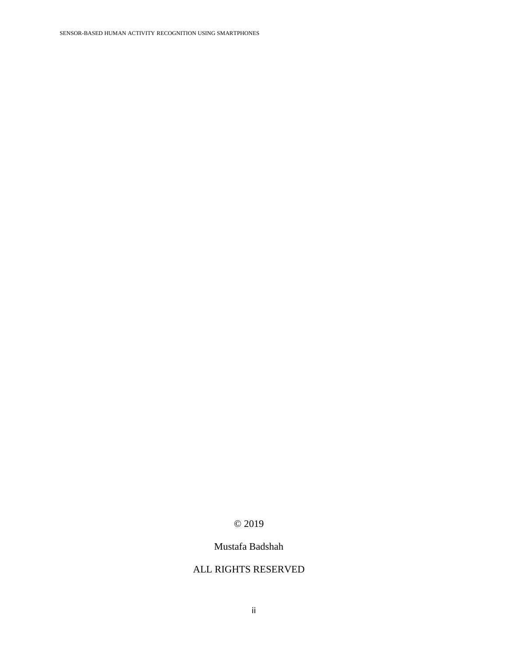SENSOR-BASED HUMAN ACTIVITY RECOGNITION USING SMARTPHONES

## © 2019

## Mustafa Badshah

## ALL RIGHTS RESERVED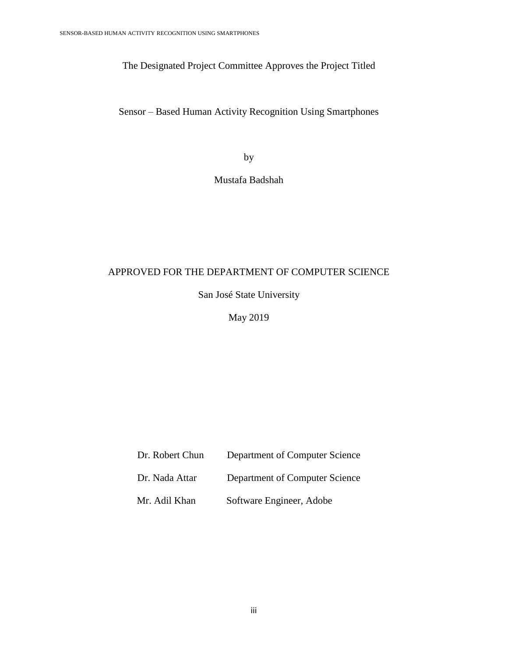The Designated Project Committee Approves the Project Titled

Sensor – Based Human Activity Recognition Using Smartphones

by

Mustafa Badshah

## APPROVED FOR THE DEPARTMENT OF COMPUTER SCIENCE

San José State University

May 2019

| Dr. Robert Chun | Department of Computer Science |
|-----------------|--------------------------------|
| Dr. Nada Attar  | Department of Computer Science |
| Mr. Adil Khan   | Software Engineer, Adobe       |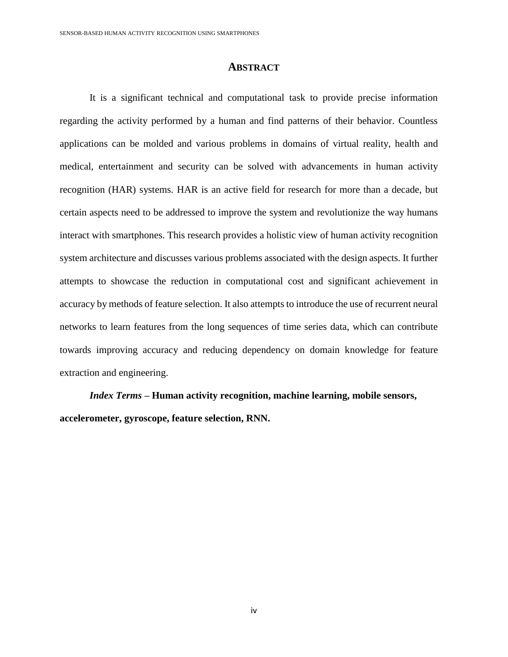#### **ABSTRACT**

It is a significant technical and computational task to provide precise information regarding the activity performed by a human and find patterns of their behavior. Countless applications can be molded and various problems in domains of virtual reality, health and medical, entertainment and security can be solved with advancements in human activity recognition (HAR) systems. HAR is an active field for research for more than a decade, but certain aspects need to be addressed to improve the system and revolutionize the way humans interact with smartphones. This research provides a holistic view of human activity recognition system architecture and discusses various problems associated with the design aspects. It further attempts to showcase the reduction in computational cost and significant achievement in accuracy by methods of feature selection. It also attempts to introduce the use of recurrent neural networks to learn features from the long sequences of time series data, which can contribute towards improving accuracy and reducing dependency on domain knowledge for feature extraction and engineering.

*Index Terms –* **Human activity recognition, machine learning, mobile sensors, accelerometer, gyroscope, feature selection, RNN.**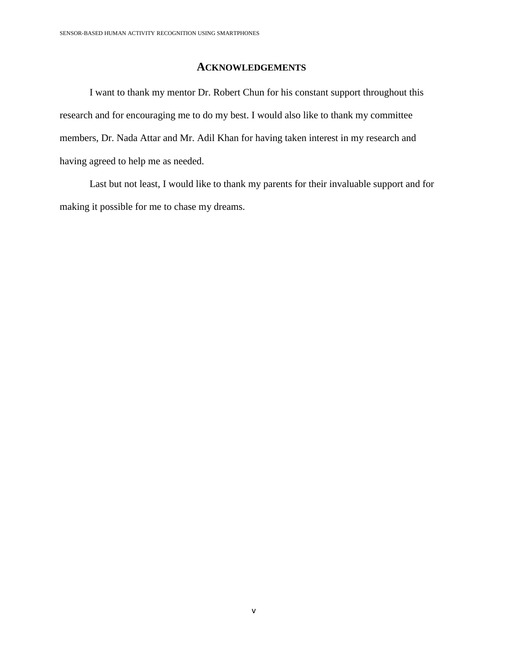### **ACKNOWLEDGEMENTS**

I want to thank my mentor Dr. Robert Chun for his constant support throughout this research and for encouraging me to do my best. I would also like to thank my committee members, Dr. Nada Attar and Mr. Adil Khan for having taken interest in my research and having agreed to help me as needed.

Last but not least, I would like to thank my parents for their invaluable support and for making it possible for me to chase my dreams.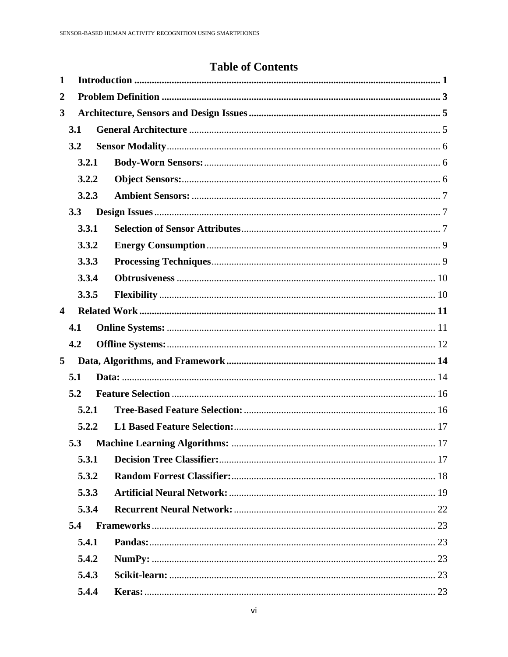# **Table of Contents**

| 1                       |     |       |  |  |  |
|-------------------------|-----|-------|--|--|--|
| $\boldsymbol{2}$        |     |       |  |  |  |
| 3                       |     |       |  |  |  |
|                         | 3.1 |       |  |  |  |
|                         | 3.2 |       |  |  |  |
|                         |     | 3.2.1 |  |  |  |
|                         |     | 3.2.2 |  |  |  |
|                         |     | 3.2.3 |  |  |  |
|                         | 3.3 |       |  |  |  |
|                         |     | 3.3.1 |  |  |  |
|                         |     | 3.3.2 |  |  |  |
|                         |     | 3.3.3 |  |  |  |
|                         |     | 3.3.4 |  |  |  |
|                         |     | 3.3.5 |  |  |  |
| $\overline{\mathbf{4}}$ |     |       |  |  |  |
|                         | 4.1 |       |  |  |  |
|                         | 4.2 |       |  |  |  |
| 5                       |     |       |  |  |  |
|                         | 5.1 |       |  |  |  |
|                         | 5.2 |       |  |  |  |
|                         |     | 5.2.1 |  |  |  |
|                         |     | 5.2.2 |  |  |  |
|                         | 5.3 |       |  |  |  |
|                         |     | 5.3.1 |  |  |  |
|                         |     | 5.3.2 |  |  |  |
|                         |     | 5.3.3 |  |  |  |
|                         |     | 5.3.4 |  |  |  |
|                         | 5.4 |       |  |  |  |
|                         |     | 5.4.1 |  |  |  |
|                         |     | 5.4.2 |  |  |  |
|                         |     | 5.4.3 |  |  |  |
|                         |     | 5.4.4 |  |  |  |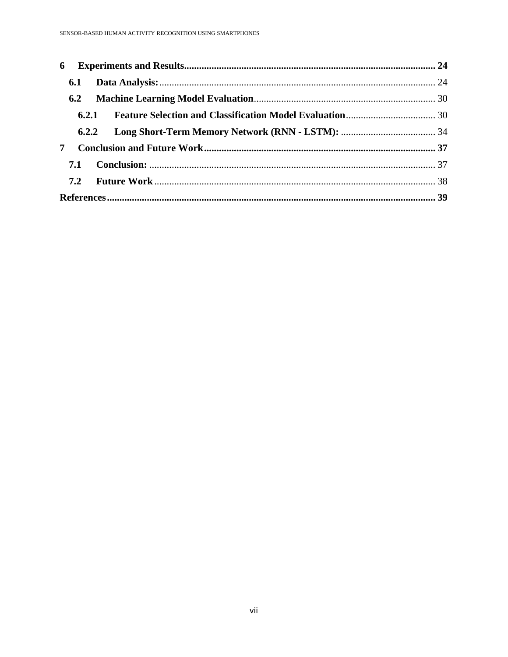| 6   |       |  |
|-----|-------|--|
| 6.1 |       |  |
| 6.2 |       |  |
|     | 6.2.1 |  |
|     | 6.2.2 |  |
| 7   |       |  |
| 7.1 |       |  |
|     |       |  |
|     |       |  |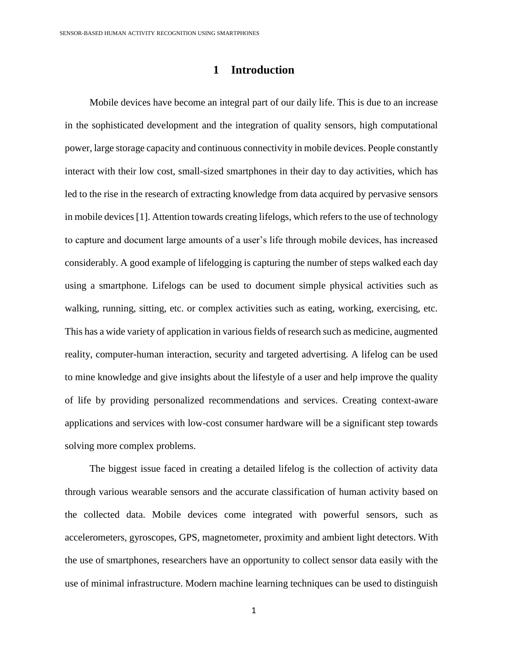## **1 Introduction**

<span id="page-8-0"></span>Mobile devices have become an integral part of our daily life. This is due to an increase in the sophisticated development and the integration of quality sensors, high computational power, large storage capacity and continuous connectivity in mobile devices. People constantly interact with their low cost, small-sized smartphones in their day to day activities, which has led to the rise in the research of extracting knowledge from data acquired by pervasive sensors in mobile devices [1]. Attention towards creating lifelogs, which refers to the use of technology to capture and document large amounts of a user's life through mobile devices, has increased considerably. A good example of lifelogging is capturing the number of steps walked each day using a smartphone. Lifelogs can be used to document simple physical activities such as walking, running, sitting, etc. or complex activities such as eating, working, exercising, etc. This has a wide variety of application in various fields of research such as medicine, augmented reality, computer-human interaction, security and targeted advertising. A lifelog can be used to mine knowledge and give insights about the lifestyle of a user and help improve the quality of life by providing personalized recommendations and services. Creating context-aware applications and services with low-cost consumer hardware will be a significant step towards solving more complex problems.

The biggest issue faced in creating a detailed lifelog is the collection of activity data through various wearable sensors and the accurate classification of human activity based on the collected data. Mobile devices come integrated with powerful sensors, such as accelerometers, gyroscopes, GPS, magnetometer, proximity and ambient light detectors. With the use of smartphones, researchers have an opportunity to collect sensor data easily with the use of minimal infrastructure. Modern machine learning techniques can be used to distinguish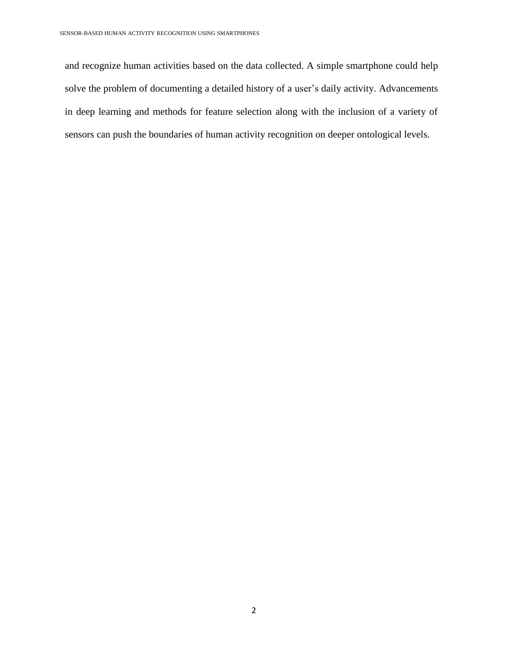and recognize human activities based on the data collected. A simple smartphone could help solve the problem of documenting a detailed history of a user's daily activity. Advancements in deep learning and methods for feature selection along with the inclusion of a variety of sensors can push the boundaries of human activity recognition on deeper ontological levels.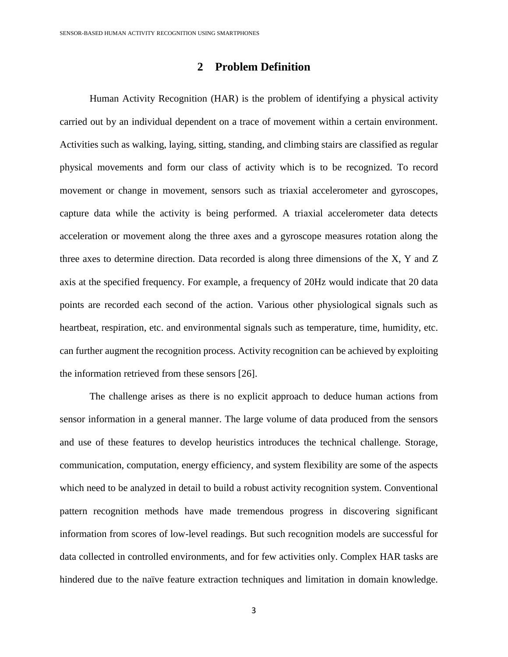### **2 Problem Definition**

<span id="page-10-0"></span>Human Activity Recognition (HAR) is the problem of identifying a physical activity carried out by an individual dependent on a trace of movement within a certain environment. Activities such as walking, laying, sitting, standing, and climbing stairs are classified as regular physical movements and form our class of activity which is to be recognized. To record movement or change in movement, sensors such as triaxial accelerometer and gyroscopes, capture data while the activity is being performed. A triaxial accelerometer data detects acceleration or movement along the three axes and a gyroscope measures rotation along the three axes to determine direction. Data recorded is along three dimensions of the X, Y and Z axis at the specified frequency. For example, a frequency of 20Hz would indicate that 20 data points are recorded each second of the action. Various other physiological signals such as heartbeat, respiration, etc. and environmental signals such as temperature, time, humidity, etc. can further augment the recognition process. Activity recognition can be achieved by exploiting the information retrieved from these sensors [26].

The challenge arises as there is no explicit approach to deduce human actions from sensor information in a general manner. The large volume of data produced from the sensors and use of these features to develop heuristics introduces the technical challenge. Storage, communication, computation, energy efficiency, and system flexibility are some of the aspects which need to be analyzed in detail to build a robust activity recognition system. Conventional pattern recognition methods have made tremendous progress in discovering significant information from scores of low-level readings. But such recognition models are successful for data collected in controlled environments, and for few activities only. Complex HAR tasks are hindered due to the naïve feature extraction techniques and limitation in domain knowledge.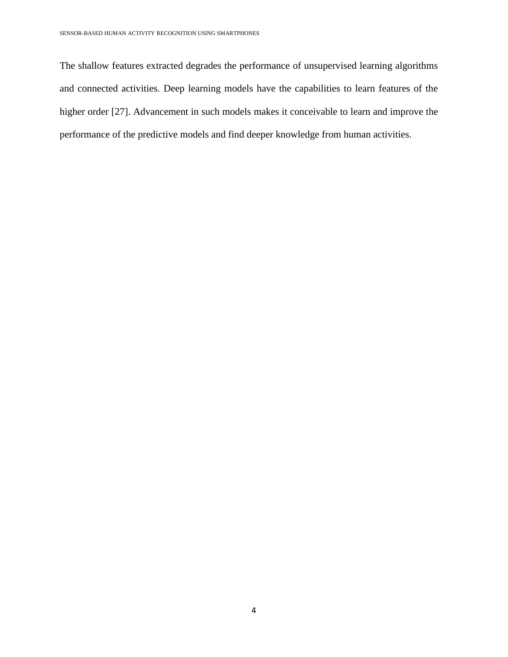The shallow features extracted degrades the performance of unsupervised learning algorithms and connected activities. Deep learning models have the capabilities to learn features of the higher order [27]. Advancement in such models makes it conceivable to learn and improve the performance of the predictive models and find deeper knowledge from human activities.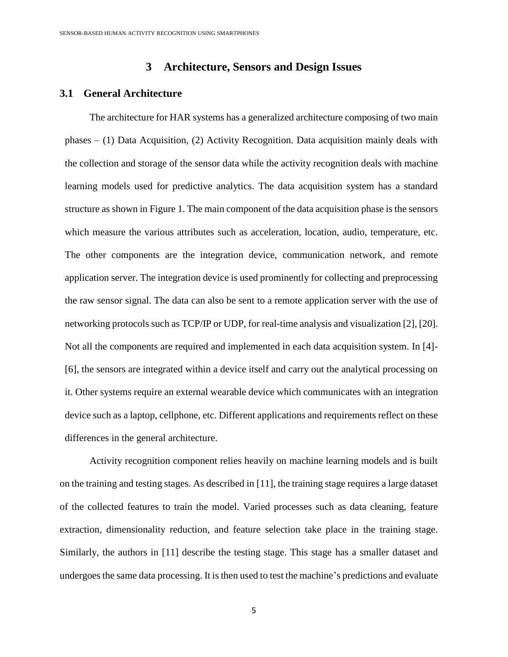## **3 Architecture, Sensors and Design Issues**

### <span id="page-12-1"></span><span id="page-12-0"></span>**3.1 General Architecture**

The architecture for HAR systems has a generalized architecture composing of two main phases – (1) Data Acquisition, (2) Activity Recognition. Data acquisition mainly deals with the collection and storage of the sensor data while the activity recognition deals with machine learning models used for predictive analytics. The data acquisition system has a standard structure as shown in Figure 1. The main component of the data acquisition phase is the sensors which measure the various attributes such as acceleration, location, audio, temperature, etc. The other components are the integration device, communication network, and remote application server. The integration device is used prominently for collecting and preprocessing the raw sensor signal. The data can also be sent to a remote application server with the use of networking protocols such as TCP/IP or UDP, for real-time analysis and visualization [2], [20]. Not all the components are required and implemented in each data acquisition system. In [4]- [6], the sensors are integrated within a device itself and carry out the analytical processing on it. Other systems require an external wearable device which communicates with an integration device such as a laptop, cellphone, etc. Different applications and requirements reflect on these differences in the general architecture.

Activity recognition component relies heavily on machine learning models and is built on the training and testing stages. As described in [11], the training stage requires a large dataset of the collected features to train the model. Varied processes such as data cleaning, feature extraction, dimensionality reduction, and feature selection take place in the training stage. Similarly, the authors in [11] describe the testing stage. This stage has a smaller dataset and undergoes the same data processing. It is then used to test the machine's predictions and evaluate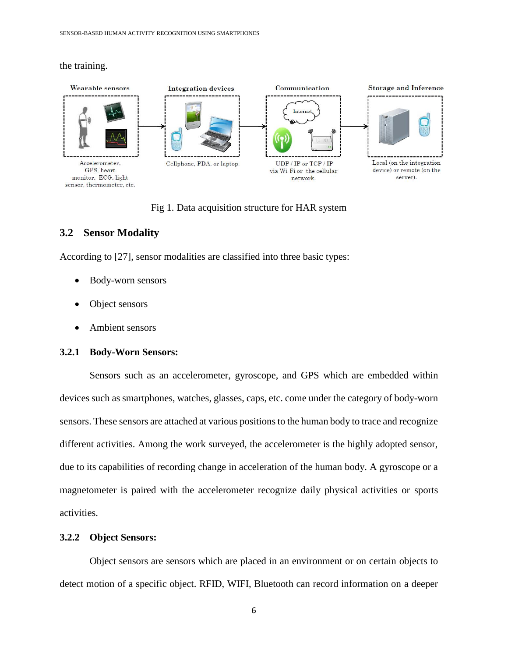the training.



Fig 1. Data acquisition structure for HAR system

### <span id="page-13-0"></span>**3.2 Sensor Modality**

According to [27], sensor modalities are classified into three basic types:

- Body-worn sensors
- Object sensors
- Ambient sensors

#### <span id="page-13-1"></span>**3.2.1 Body-Worn Sensors:**

Sensors such as an accelerometer, gyroscope, and GPS which are embedded within devices such as smartphones, watches, glasses, caps, etc. come under the category of body-worn sensors. These sensors are attached at various positions to the human body to trace and recognize different activities. Among the work surveyed, the accelerometer is the highly adopted sensor, due to its capabilities of recording change in acceleration of the human body. A gyroscope or a magnetometer is paired with the accelerometer recognize daily physical activities or sports activities.

#### <span id="page-13-2"></span>**3.2.2 Object Sensors:**

Object sensors are sensors which are placed in an environment or on certain objects to detect motion of a specific object. RFID, WIFI, Bluetooth can record information on a deeper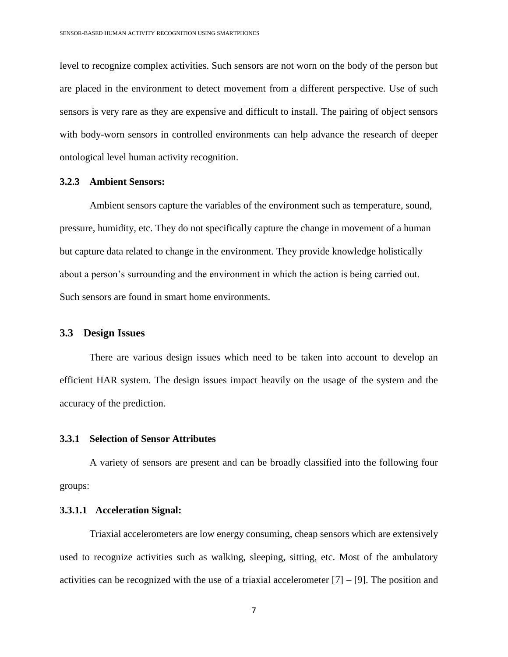level to recognize complex activities. Such sensors are not worn on the body of the person but are placed in the environment to detect movement from a different perspective. Use of such sensors is very rare as they are expensive and difficult to install. The pairing of object sensors with body-worn sensors in controlled environments can help advance the research of deeper ontological level human activity recognition.

#### <span id="page-14-0"></span>**3.2.3 Ambient Sensors:**

Ambient sensors capture the variables of the environment such as temperature, sound, pressure, humidity, etc. They do not specifically capture the change in movement of a human but capture data related to change in the environment. They provide knowledge holistically about a person's surrounding and the environment in which the action is being carried out. Such sensors are found in smart home environments.

### <span id="page-14-1"></span>**3.3 Design Issues**

There are various design issues which need to be taken into account to develop an efficient HAR system. The design issues impact heavily on the usage of the system and the accuracy of the prediction.

### <span id="page-14-2"></span>**3.3.1 Selection of Sensor Attributes**

A variety of sensors are present and can be broadly classified into the following four groups:

#### **3.3.1.1 Acceleration Signal:**

Triaxial accelerometers are low energy consuming, cheap sensors which are extensively used to recognize activities such as walking, sleeping, sitting, etc. Most of the ambulatory activities can be recognized with the use of a triaxial accelerometer [7] – [9]. The position and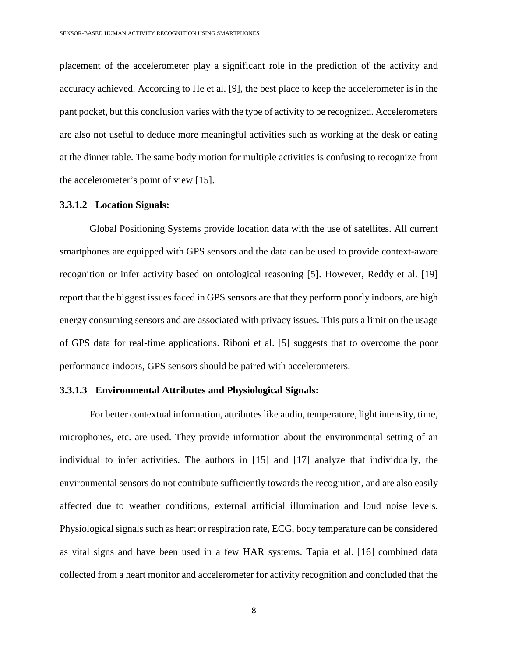placement of the accelerometer play a significant role in the prediction of the activity and accuracy achieved. According to He et al. [9], the best place to keep the accelerometer is in the pant pocket, but this conclusion varies with the type of activity to be recognized. Accelerometers are also not useful to deduce more meaningful activities such as working at the desk or eating at the dinner table. The same body motion for multiple activities is confusing to recognize from the accelerometer's point of view [15].

#### **3.3.1.2 Location Signals:**

Global Positioning Systems provide location data with the use of satellites. All current smartphones are equipped with GPS sensors and the data can be used to provide context-aware recognition or infer activity based on ontological reasoning [5]. However, Reddy et al. [19] report that the biggest issues faced in GPS sensors are that they perform poorly indoors, are high energy consuming sensors and are associated with privacy issues. This puts a limit on the usage of GPS data for real-time applications. Riboni et al. [5] suggests that to overcome the poor performance indoors, GPS sensors should be paired with accelerometers.

#### **3.3.1.3 Environmental Attributes and Physiological Signals:**

For better contextual information, attributes like audio, temperature, light intensity, time, microphones, etc. are used. They provide information about the environmental setting of an individual to infer activities. The authors in [15] and [17] analyze that individually, the environmental sensors do not contribute sufficiently towards the recognition, and are also easily affected due to weather conditions, external artificial illumination and loud noise levels. Physiological signals such as heart or respiration rate, ECG, body temperature can be considered as vital signs and have been used in a few HAR systems. Tapia et al. [16] combined data collected from a heart monitor and accelerometer for activity recognition and concluded that the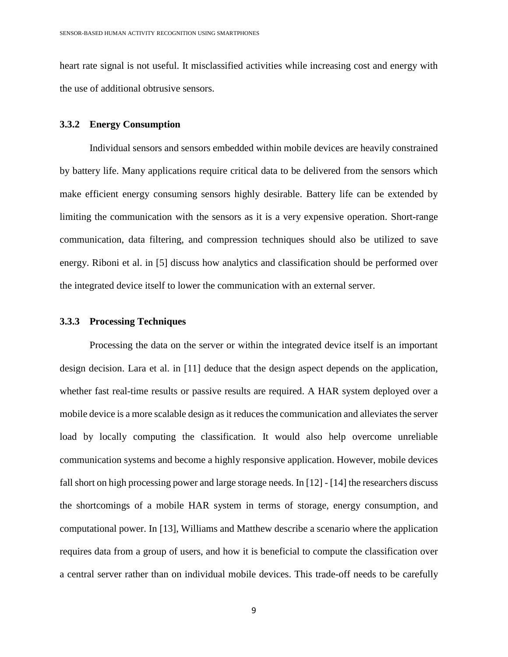heart rate signal is not useful. It misclassified activities while increasing cost and energy with the use of additional obtrusive sensors.

#### <span id="page-16-0"></span>**3.3.2 Energy Consumption**

Individual sensors and sensors embedded within mobile devices are heavily constrained by battery life. Many applications require critical data to be delivered from the sensors which make efficient energy consuming sensors highly desirable. Battery life can be extended by limiting the communication with the sensors as it is a very expensive operation. Short-range communication, data filtering, and compression techniques should also be utilized to save energy. Riboni et al. in [5] discuss how analytics and classification should be performed over the integrated device itself to lower the communication with an external server.

#### <span id="page-16-1"></span>**3.3.3 Processing Techniques**

Processing the data on the server or within the integrated device itself is an important design decision. Lara et al. in [11] deduce that the design aspect depends on the application, whether fast real-time results or passive results are required. A HAR system deployed over a mobile device is a more scalable design as it reduces the communication and alleviates the server load by locally computing the classification. It would also help overcome unreliable communication systems and become a highly responsive application. However, mobile devices fall short on high processing power and large storage needs. In [12] - [14] the researchers discuss the shortcomings of a mobile HAR system in terms of storage, energy consumption, and computational power. In [13], Williams and Matthew describe a scenario where the application requires data from a group of users, and how it is beneficial to compute the classification over a central server rather than on individual mobile devices. This trade-off needs to be carefully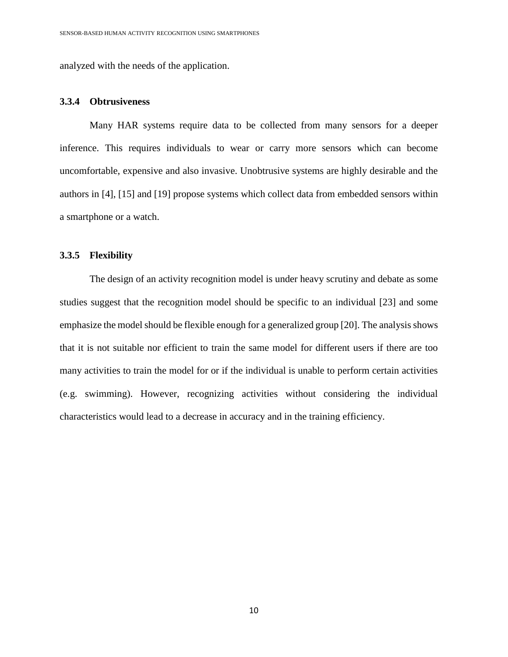analyzed with the needs of the application.

### <span id="page-17-0"></span>**3.3.4 Obtrusiveness**

Many HAR systems require data to be collected from many sensors for a deeper inference. This requires individuals to wear or carry more sensors which can become uncomfortable, expensive and also invasive. Unobtrusive systems are highly desirable and the authors in [4], [15] and [19] propose systems which collect data from embedded sensors within a smartphone or a watch.

#### <span id="page-17-1"></span>**3.3.5 Flexibility**

The design of an activity recognition model is under heavy scrutiny and debate as some studies suggest that the recognition model should be specific to an individual [23] and some emphasize the model should be flexible enough for a generalized group [20]. The analysis shows that it is not suitable nor efficient to train the same model for different users if there are too many activities to train the model for or if the individual is unable to perform certain activities (e.g. swimming). However, recognizing activities without considering the individual characteristics would lead to a decrease in accuracy and in the training efficiency.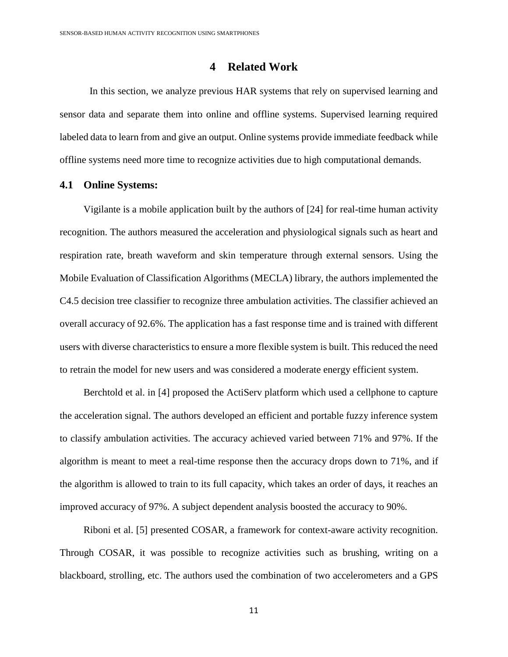### **4 Related Work**

<span id="page-18-0"></span>In this section, we analyze previous HAR systems that rely on supervised learning and sensor data and separate them into online and offline systems. Supervised learning required labeled data to learn from and give an output. Online systems provide immediate feedback while offline systems need more time to recognize activities due to high computational demands.

### <span id="page-18-1"></span>**4.1 Online Systems:**

Vigilante is a mobile application built by the authors of [24] for real-time human activity recognition. The authors measured the acceleration and physiological signals such as heart and respiration rate, breath waveform and skin temperature through external sensors. Using the Mobile Evaluation of Classification Algorithms (MECLA) library, the authors implemented the C4.5 decision tree classifier to recognize three ambulation activities. The classifier achieved an overall accuracy of 92.6%. The application has a fast response time and is trained with different users with diverse characteristics to ensure a more flexible system is built. This reduced the need to retrain the model for new users and was considered a moderate energy efficient system.

Berchtold et al. in [4] proposed the ActiServ platform which used a cellphone to capture the acceleration signal. The authors developed an efficient and portable fuzzy inference system to classify ambulation activities. The accuracy achieved varied between 71% and 97%. If the algorithm is meant to meet a real-time response then the accuracy drops down to 71%, and if the algorithm is allowed to train to its full capacity, which takes an order of days, it reaches an improved accuracy of 97%. A subject dependent analysis boosted the accuracy to 90%.

Riboni et al. [5] presented COSAR, a framework for context-aware activity recognition. Through COSAR, it was possible to recognize activities such as brushing, writing on a blackboard, strolling, etc. The authors used the combination of two accelerometers and a GPS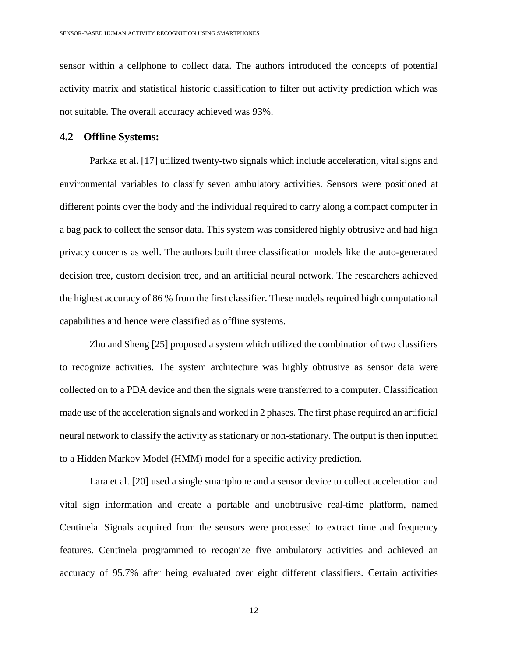sensor within a cellphone to collect data. The authors introduced the concepts of potential activity matrix and statistical historic classification to filter out activity prediction which was not suitable. The overall accuracy achieved was 93%.

### <span id="page-19-0"></span>**4.2 Offline Systems:**

Parkka et al. [17] utilized twenty-two signals which include acceleration, vital signs and environmental variables to classify seven ambulatory activities. Sensors were positioned at different points over the body and the individual required to carry along a compact computer in a bag pack to collect the sensor data. This system was considered highly obtrusive and had high privacy concerns as well. The authors built three classification models like the auto-generated decision tree, custom decision tree, and an artificial neural network. The researchers achieved the highest accuracy of 86 % from the first classifier. These models required high computational capabilities and hence were classified as offline systems.

Zhu and Sheng [25] proposed a system which utilized the combination of two classifiers to recognize activities. The system architecture was highly obtrusive as sensor data were collected on to a PDA device and then the signals were transferred to a computer. Classification made use of the acceleration signals and worked in 2 phases. The first phase required an artificial neural network to classify the activity as stationary or non-stationary. The output is then inputted to a Hidden Markov Model (HMM) model for a specific activity prediction.

Lara et al. [20] used a single smartphone and a sensor device to collect acceleration and vital sign information and create a portable and unobtrusive real-time platform, named Centinela. Signals acquired from the sensors were processed to extract time and frequency features. Centinela programmed to recognize five ambulatory activities and achieved an accuracy of 95.7% after being evaluated over eight different classifiers. Certain activities

12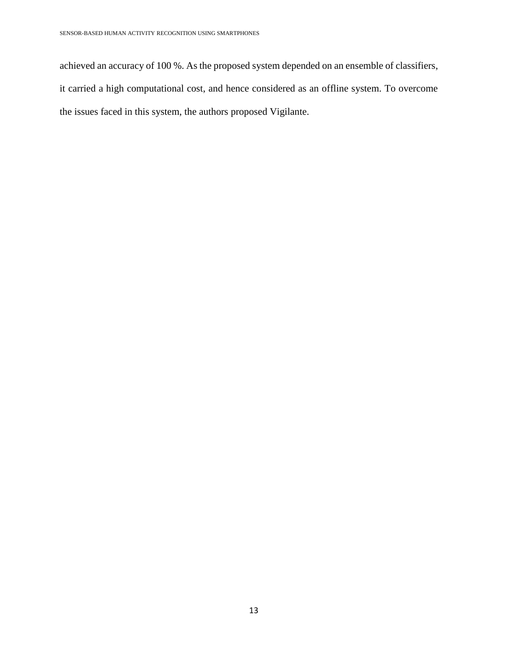achieved an accuracy of 100 %. As the proposed system depended on an ensemble of classifiers, it carried a high computational cost, and hence considered as an offline system. To overcome the issues faced in this system, the authors proposed Vigilante.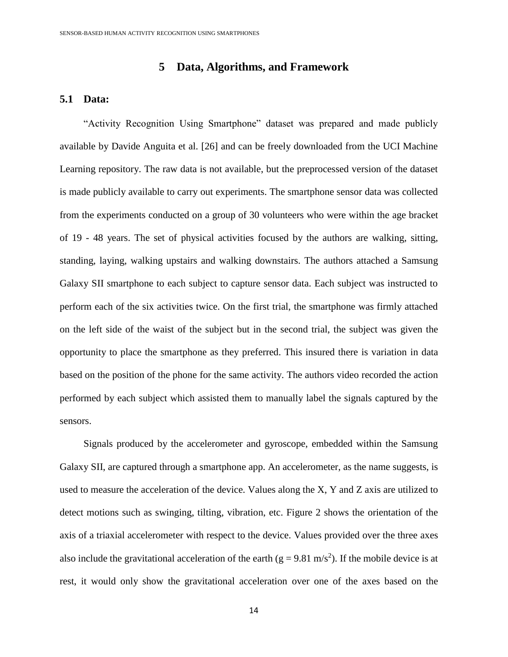## **5 Data, Algorithms, and Framework**

#### <span id="page-21-1"></span><span id="page-21-0"></span>**5.1 Data:**

"Activity Recognition Using Smartphone" dataset was prepared and made publicly available by Davide Anguita et al. [26] and can be freely downloaded from the UCI Machine Learning repository. The raw data is not available, but the preprocessed version of the dataset is made publicly available to carry out experiments. The smartphone sensor data was collected from the experiments conducted on a group of 30 volunteers who were within the age bracket of 19 - 48 years. The set of physical activities focused by the authors are walking, sitting, standing, laying, walking upstairs and walking downstairs. The authors attached a Samsung Galaxy SII smartphone to each subject to capture sensor data. Each subject was instructed to perform each of the six activities twice. On the first trial, the smartphone was firmly attached on the left side of the waist of the subject but in the second trial, the subject was given the opportunity to place the smartphone as they preferred. This insured there is variation in data based on the position of the phone for the same activity. The authors video recorded the action performed by each subject which assisted them to manually label the signals captured by the sensors.

Signals produced by the accelerometer and gyroscope, embedded within the Samsung Galaxy SII, are captured through a smartphone app. An accelerometer, as the name suggests, is used to measure the acceleration of the device. Values along the X, Y and Z axis are utilized to detect motions such as swinging, tilting, vibration, etc. Figure 2 shows the orientation of the axis of a triaxial accelerometer with respect to the device. Values provided over the three axes also include the gravitational acceleration of the earth  $(g = 9.81 \text{ m/s}^2)$ . If the mobile device is at rest, it would only show the gravitational acceleration over one of the axes based on the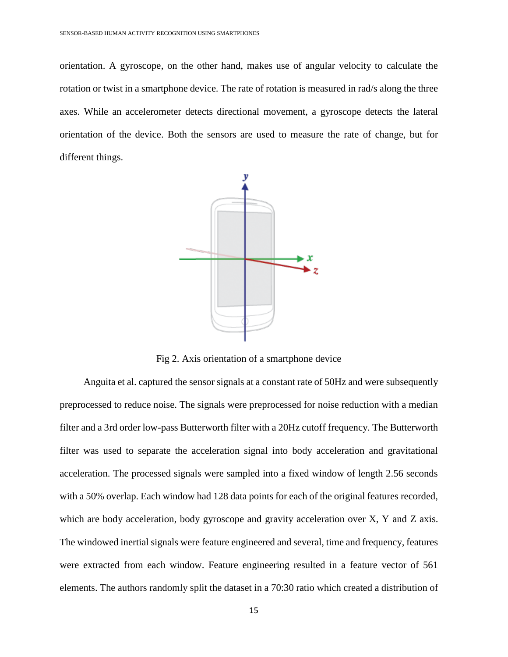orientation. A gyroscope, on the other hand, makes use of angular velocity to calculate the rotation or twist in a smartphone device. The rate of rotation is measured in rad/s along the three axes. While an accelerometer detects directional movement, a gyroscope detects the lateral orientation of the device. Both the sensors are used to measure the rate of change, but for different things.



Fig 2. Axis orientation of a smartphone device

Anguita et al. captured the sensor signals at a constant rate of 50Hz and were subsequently preprocessed to reduce noise. The signals were preprocessed for noise reduction with a median filter and a 3rd order low-pass Butterworth filter with a 20Hz cutoff frequency. The Butterworth filter was used to separate the acceleration signal into body acceleration and gravitational acceleration. The processed signals were sampled into a fixed window of length 2.56 seconds with a 50% overlap. Each window had 128 data points for each of the original features recorded, which are body acceleration, body gyroscope and gravity acceleration over X, Y and Z axis. The windowed inertial signals were feature engineered and several, time and frequency, features were extracted from each window. Feature engineering resulted in a feature vector of 561 elements. The authors randomly split the dataset in a 70:30 ratio which created a distribution of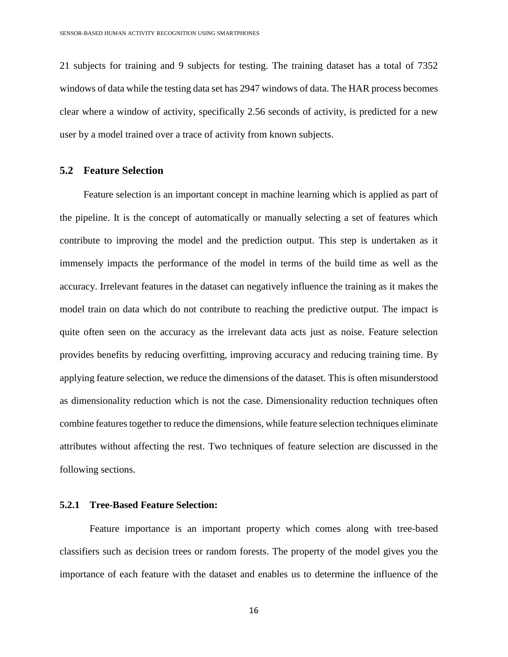21 subjects for training and 9 subjects for testing. The training dataset has a total of 7352 windows of data while the testing data set has 2947 windows of data. The HAR process becomes clear where a window of activity, specifically 2.56 seconds of activity, is predicted for a new user by a model trained over a trace of activity from known subjects.

### <span id="page-23-0"></span>**5.2 Feature Selection**

Feature selection is an important concept in machine learning which is applied as part of the pipeline. It is the concept of automatically or manually selecting a set of features which contribute to improving the model and the prediction output. This step is undertaken as it immensely impacts the performance of the model in terms of the build time as well as the accuracy. Irrelevant features in the dataset can negatively influence the training as it makes the model train on data which do not contribute to reaching the predictive output. The impact is quite often seen on the accuracy as the irrelevant data acts just as noise. Feature selection provides benefits by reducing overfitting, improving accuracy and reducing training time. By applying feature selection, we reduce the dimensions of the dataset. This is often misunderstood as dimensionality reduction which is not the case. Dimensionality reduction techniques often combine features together to reduce the dimensions, while feature selection techniques eliminate attributes without affecting the rest. Two techniques of feature selection are discussed in the following sections.

#### <span id="page-23-1"></span>**5.2.1 Tree-Based Feature Selection:**

Feature importance is an important property which comes along with tree-based classifiers such as decision trees or random forests. The property of the model gives you the importance of each feature with the dataset and enables us to determine the influence of the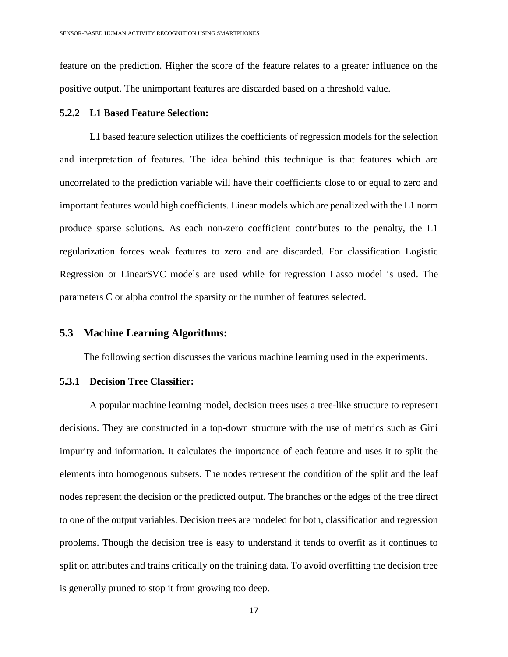feature on the prediction. Higher the score of the feature relates to a greater influence on the positive output. The unimportant features are discarded based on a threshold value.

#### <span id="page-24-0"></span>**5.2.2 L1 Based Feature Selection:**

L1 based feature selection utilizes the coefficients of regression models for the selection and interpretation of features. The idea behind this technique is that features which are uncorrelated to the prediction variable will have their coefficients close to or equal to zero and important features would high coefficients. Linear models which are penalized with the L1 norm produce sparse solutions. As each non-zero coefficient contributes to the penalty, the L1 regularization forces weak features to zero and are discarded. For classification Logistic Regression or LinearSVC models are used while for regression Lasso model is used. The parameters C or alpha control the sparsity or the number of features selected.

### <span id="page-24-1"></span>**5.3 Machine Learning Algorithms:**

The following section discusses the various machine learning used in the experiments.

#### <span id="page-24-2"></span>**5.3.1 Decision Tree Classifier:**

A popular machine learning model, decision trees uses a tree-like structure to represent decisions. They are constructed in a top-down structure with the use of metrics such as Gini impurity and information. It calculates the importance of each feature and uses it to split the elements into homogenous subsets. The nodes represent the condition of the split and the leaf nodes represent the decision or the predicted output. The branches or the edges of the tree direct to one of the output variables. Decision trees are modeled for both, classification and regression problems. Though the decision tree is easy to understand it tends to overfit as it continues to split on attributes and trains critically on the training data. To avoid overfitting the decision tree is generally pruned to stop it from growing too deep.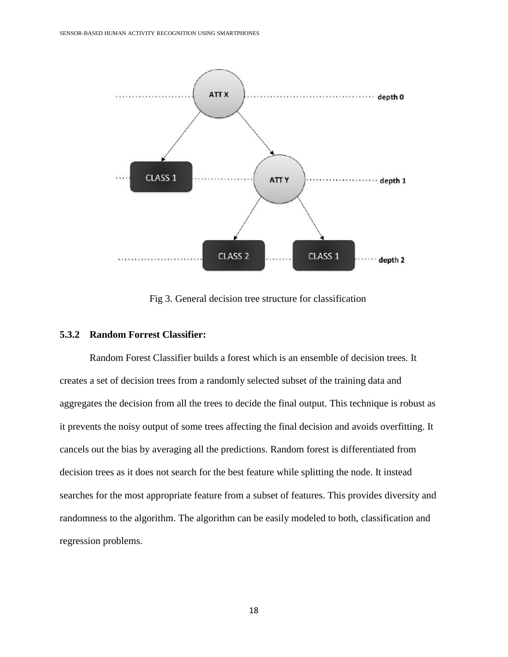

Fig 3. General decision tree structure for classification

### <span id="page-25-0"></span>**5.3.2 Random Forrest Classifier:**

Random Forest Classifier builds a forest which is an ensemble of decision trees. It creates a set of decision trees from a randomly selected subset of the training data and aggregates the decision from all the trees to decide the final output. This technique is robust as it prevents the noisy output of some trees affecting the final decision and avoids overfitting. It cancels out the bias by averaging all the predictions. Random forest is differentiated from decision trees as it does not search for the best feature while splitting the node. It instead searches for the most appropriate feature from a subset of features. This provides diversity and randomness to the algorithm. The algorithm can be easily modeled to both, classification and regression problems.

18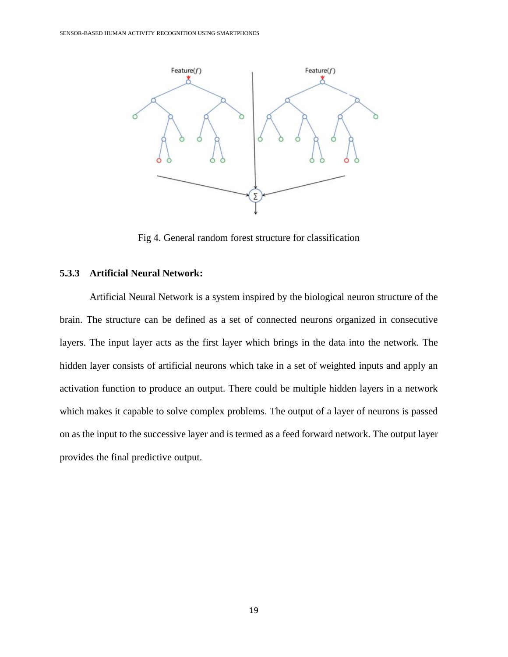

Fig 4. General random forest structure for classification

### <span id="page-26-0"></span>**5.3.3 Artificial Neural Network:**

Artificial Neural Network is a system inspired by the biological neuron structure of the brain. The structure can be defined as a set of connected neurons organized in consecutive layers. The input layer acts as the first layer which brings in the data into the network. The hidden layer consists of artificial neurons which take in a set of weighted inputs and apply an activation function to produce an output. There could be multiple hidden layers in a network which makes it capable to solve complex problems. The output of a layer of neurons is passed on as the input to the successive layer and is termed as a feed forward network. The output layer provides the final predictive output.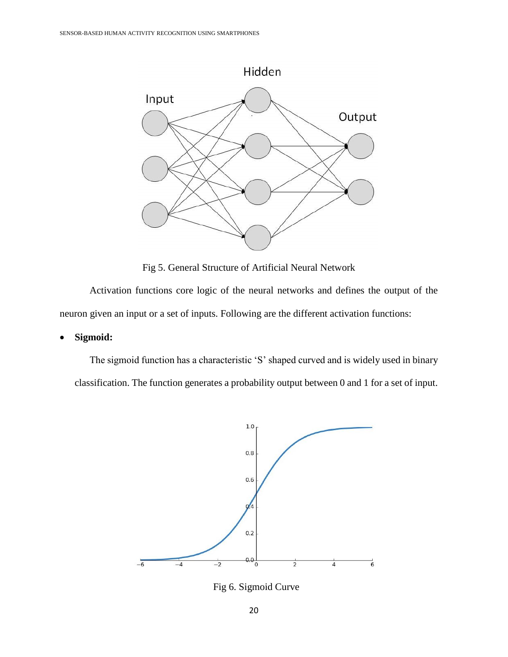

Fig 5. General Structure of Artificial Neural Network

Activation functions core logic of the neural networks and defines the output of the neuron given an input or a set of inputs. Following are the different activation functions:

• **Sigmoid:**

The sigmoid function has a characteristic 'S' shaped curved and is widely used in binary classification. The function generates a probability output between 0 and 1 for a set of input.



Fig 6. Sigmoid Curve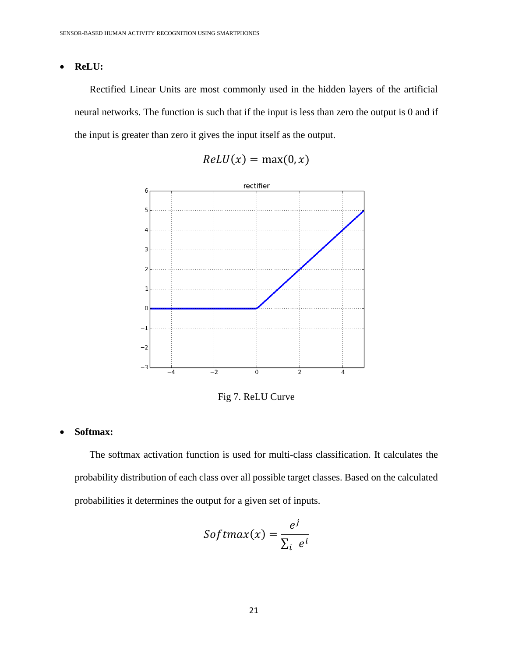### • **ReLU:**

Rectified Linear Units are most commonly used in the hidden layers of the artificial neural networks. The function is such that if the input is less than zero the output is 0 and if the input is greater than zero it gives the input itself as the output.



```
ReLU(x) = max(0, x)
```
Fig 7. ReLU Curve

### • **Softmax:**

The softmax activation function is used for multi-class classification. It calculates the probability distribution of each class over all possible target classes. Based on the calculated probabilities it determines the output for a given set of inputs.

$$
Softmax(x) = \frac{e^j}{\sum_i e^i}
$$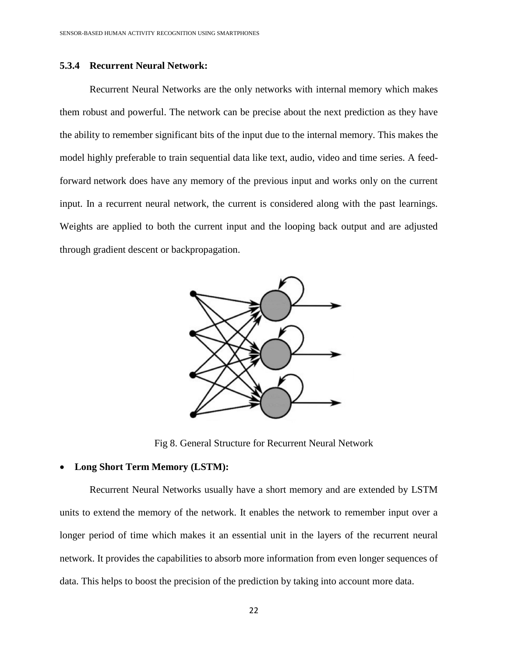### <span id="page-29-0"></span>**5.3.4 Recurrent Neural Network:**

Recurrent Neural Networks are the only networks with internal memory which makes them robust and powerful. The network can be precise about the next prediction as they have the ability to remember significant bits of the input due to the internal memory. This makes the model highly preferable to train sequential data like text, audio, video and time series. A feedforward network does have any memory of the previous input and works only on the current input. In a recurrent neural network, the current is considered along with the past learnings. Weights are applied to both the current input and the looping back output and are adjusted through gradient descent or backpropagation.



Fig 8. General Structure for Recurrent Neural Network

### • **Long Short Term Memory (LSTM):**

Recurrent Neural Networks usually have a short memory and are extended by LSTM units to extend the memory of the network. It enables the network to remember input over a longer period of time which makes it an essential unit in the layers of the recurrent neural network. It provides the capabilities to absorb more information from even longer sequences of data. This helps to boost the precision of the prediction by taking into account more data.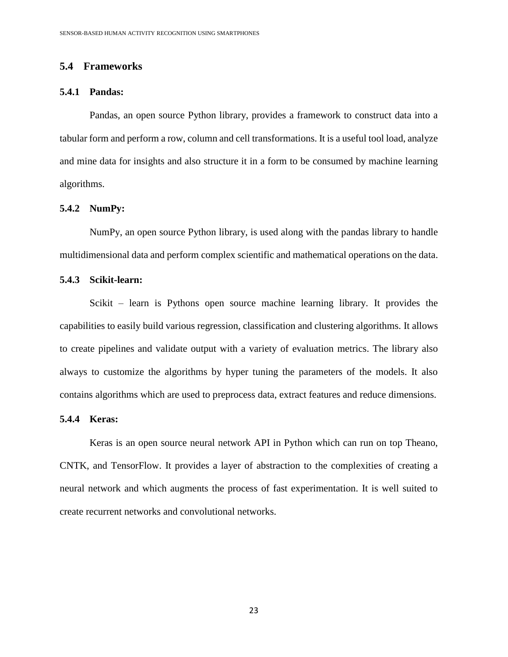### <span id="page-30-0"></span>**5.4 Frameworks**

#### <span id="page-30-1"></span>**5.4.1 Pandas:**

Pandas, an open source Python library, provides a framework to construct data into a tabular form and perform a row, column and cell transformations. It is a useful tool load, analyze and mine data for insights and also structure it in a form to be consumed by machine learning algorithms.

#### <span id="page-30-2"></span>**5.4.2 NumPy:**

NumPy, an open source Python library, is used along with the pandas library to handle multidimensional data and perform complex scientific and mathematical operations on the data.

#### <span id="page-30-3"></span>**5.4.3 Scikit-learn:**

Scikit – learn is Pythons open source machine learning library. It provides the capabilities to easily build various regression, classification and clustering algorithms. It allows to create pipelines and validate output with a variety of evaluation metrics. The library also always to customize the algorithms by hyper tuning the parameters of the models. It also contains algorithms which are used to preprocess data, extract features and reduce dimensions.

### <span id="page-30-4"></span>**5.4.4 Keras:**

Keras is an open source neural network API in Python which can run on top Theano, CNTK, and TensorFlow. It provides a layer of abstraction to the complexities of creating a neural network and which augments the process of fast experimentation. It is well suited to create recurrent networks and convolutional networks.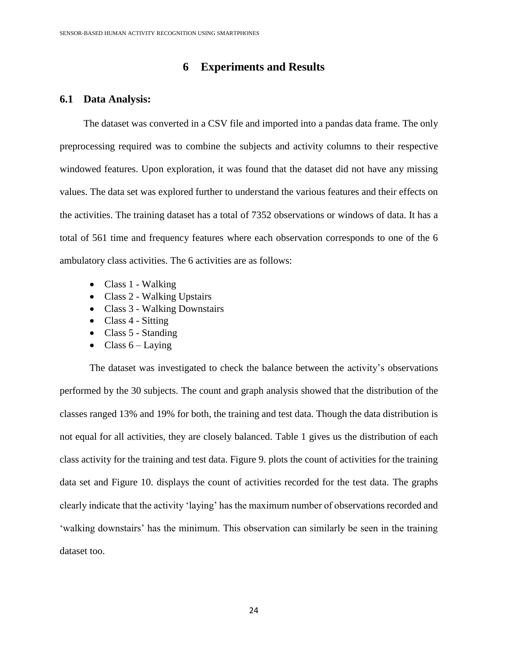### **6 Experiments and Results**

#### <span id="page-31-1"></span><span id="page-31-0"></span>**6.1 Data Analysis:**

The dataset was converted in a CSV file and imported into a pandas data frame. The only preprocessing required was to combine the subjects and activity columns to their respective windowed features. Upon exploration, it was found that the dataset did not have any missing values. The data set was explored further to understand the various features and their effects on the activities. The training dataset has a total of 7352 observations or windows of data. It has a total of 561 time and frequency features where each observation corresponds to one of the 6 ambulatory class activities. The 6 activities are as follows:

- Class 1 Walking
- Class 2 Walking Upstairs
- Class 3 Walking Downstairs
- Class 4 Sitting
- Class 5 Standing
- Class  $6 -$  Laying

The dataset was investigated to check the balance between the activity's observations performed by the 30 subjects. The count and graph analysis showed that the distribution of the classes ranged 13% and 19% for both, the training and test data. Though the data distribution is not equal for all activities, they are closely balanced. Table 1 gives us the distribution of each class activity for the training and test data. Figure 9. plots the count of activities for the training data set and Figure 10. displays the count of activities recorded for the test data. The graphs clearly indicate that the activity 'laying' has the maximum number of observations recorded and 'walking downstairs' has the minimum. This observation can similarly be seen in the training dataset too.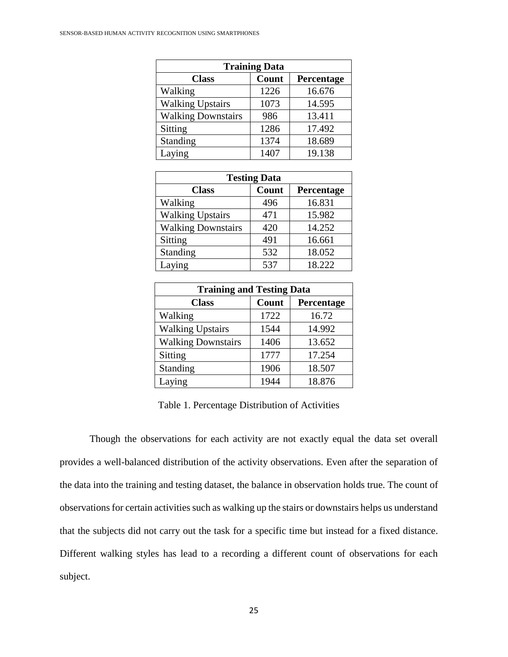| <b>Training Data</b>      |       |            |  |  |  |
|---------------------------|-------|------------|--|--|--|
| <b>Class</b>              | Count | Percentage |  |  |  |
| Walking                   | 1226  | 16.676     |  |  |  |
| <b>Walking Upstairs</b>   | 1073  | 14.595     |  |  |  |
| <b>Walking Downstairs</b> | 986   | 13.411     |  |  |  |
| Sitting                   | 1286  | 17.492     |  |  |  |
| Standing                  | 1374  | 18.689     |  |  |  |
| Laying                    | 1407  | 19.138     |  |  |  |

| <b>Testing Data</b>       |       |            |  |  |
|---------------------------|-------|------------|--|--|
| <b>Class</b>              | Count | Percentage |  |  |
| Walking                   | 496   | 16.831     |  |  |
| <b>Walking Upstairs</b>   | 471   | 15.982     |  |  |
| <b>Walking Downstairs</b> | 420   | 14.252     |  |  |
| Sitting                   | 491   | 16.661     |  |  |
| Standing                  | 532   | 18.052     |  |  |
| Laying                    | 537   | 18.222     |  |  |

| <b>Training and Testing Data</b> |       |            |  |  |
|----------------------------------|-------|------------|--|--|
| <b>Class</b>                     | Count | Percentage |  |  |
| Walking                          | 1722  | 16.72      |  |  |
| <b>Walking Upstairs</b>          | 1544  | 14.992     |  |  |
| <b>Walking Downstairs</b>        | 1406  | 13.652     |  |  |
| Sitting                          | 1777  | 17.254     |  |  |
| Standing                         | 1906  | 18.507     |  |  |
| Laying                           | 1944  | 18.876     |  |  |

Table 1. Percentage Distribution of Activities

Though the observations for each activity are not exactly equal the data set overall provides a well-balanced distribution of the activity observations. Even after the separation of the data into the training and testing dataset, the balance in observation holds true. The count of observations for certain activities such as walking up the stairs or downstairs helps us understand that the subjects did not carry out the task for a specific time but instead for a fixed distance. Different walking styles has lead to a recording a different count of observations for each subject.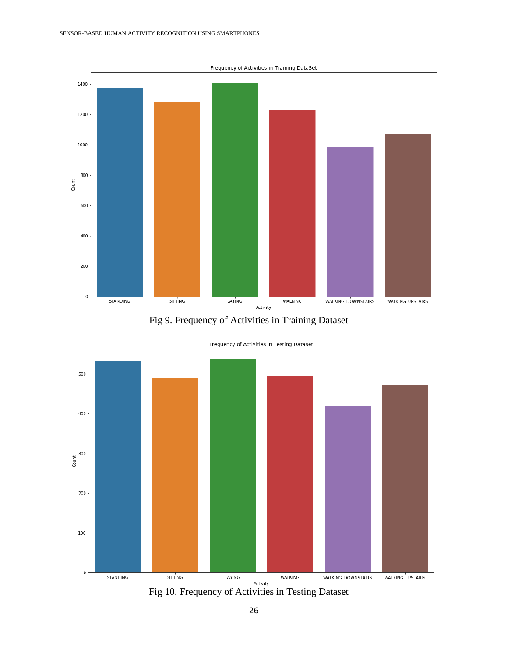

Fig 9. Frequency of Activities in Training Dataset





26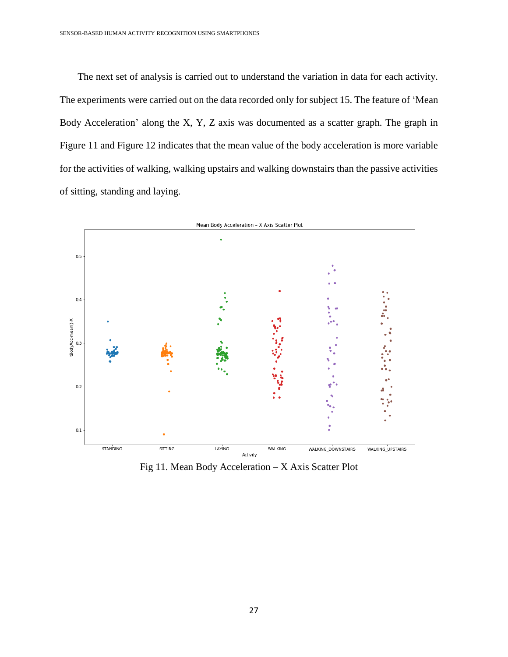The next set of analysis is carried out to understand the variation in data for each activity. The experiments were carried out on the data recorded only for subject 15. The feature of 'Mean Body Acceleration' along the X, Y, Z axis was documented as a scatter graph. The graph in Figure 11 and Figure 12 indicates that the mean value of the body acceleration is more variable for the activities of walking, walking upstairs and walking downstairs than the passive activities of sitting, standing and laying.



Fig 11. Mean Body Acceleration – X Axis Scatter Plot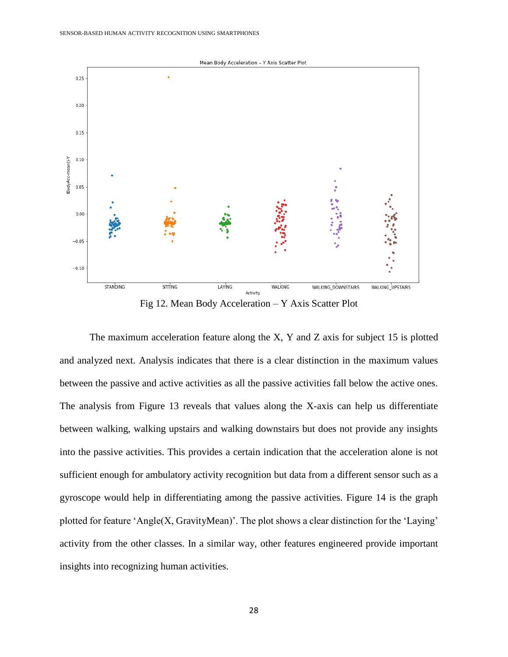

Fig 12. Mean Body Acceleration – Y Axis Scatter Plot

The maximum acceleration feature along the X, Y and Z axis for subject 15 is plotted and analyzed next. Analysis indicates that there is a clear distinction in the maximum values between the passive and active activities as all the passive activities fall below the active ones. The analysis from Figure 13 reveals that values along the X-axis can help us differentiate between walking, walking upstairs and walking downstairs but does not provide any insights into the passive activities. This provides a certain indication that the acceleration alone is not sufficient enough for ambulatory activity recognition but data from a different sensor such as a gyroscope would help in differentiating among the passive activities. Figure 14 is the graph plotted for feature 'Angle(X, GravityMean)'. The plot shows a clear distinction for the 'Laying' activity from the other classes. In a similar way, other features engineered provide important insights into recognizing human activities.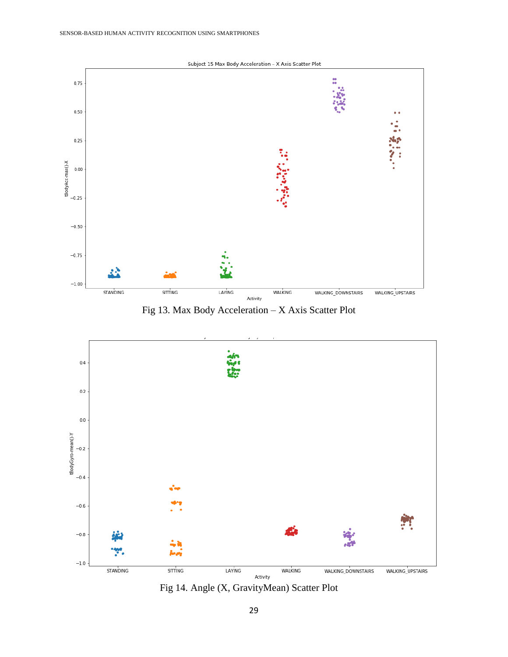

Fig 13. Max Body Acceleration – X Axis Scatter Plot



Fig 14. Angle (X, GravityMean) Scatter Plot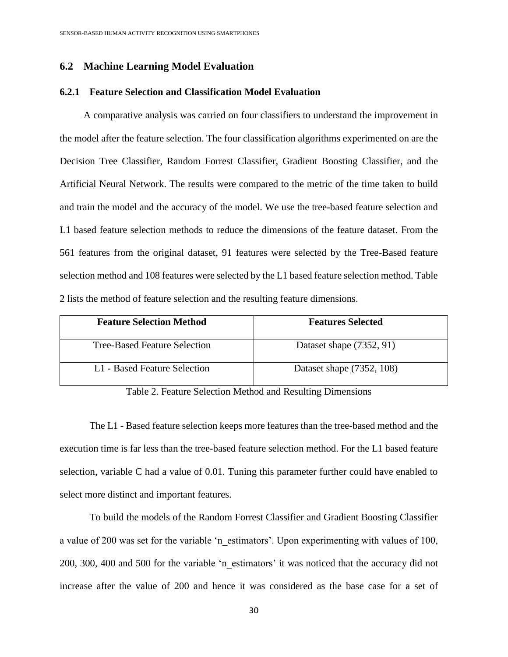### <span id="page-37-0"></span>**6.2 Machine Learning Model Evaluation**

### <span id="page-37-1"></span>**6.2.1 Feature Selection and Classification Model Evaluation**

A comparative analysis was carried on four classifiers to understand the improvement in the model after the feature selection. The four classification algorithms experimented on are the Decision Tree Classifier, Random Forrest Classifier, Gradient Boosting Classifier, and the Artificial Neural Network. The results were compared to the metric of the time taken to build and train the model and the accuracy of the model. We use the tree-based feature selection and L1 based feature selection methods to reduce the dimensions of the feature dataset. From the 561 features from the original dataset, 91 features were selected by the Tree-Based feature selection method and 108 features were selected by the L1 based feature selection method. Table 2 lists the method of feature selection and the resulting feature dimensions.

| <b>Feature Selection Method</b> | <b>Features Selected</b>  |
|---------------------------------|---------------------------|
| Tree-Based Feature Selection    | Dataset shape (7352, 91)  |
| L1 - Based Feature Selection    | Dataset shape (7352, 108) |

Table 2. Feature Selection Method and Resulting Dimensions

The L1 - Based feature selection keeps more features than the tree-based method and the execution time is far less than the tree-based feature selection method. For the L1 based feature selection, variable C had a value of 0.01. Tuning this parameter further could have enabled to select more distinct and important features.

To build the models of the Random Forrest Classifier and Gradient Boosting Classifier a value of 200 was set for the variable 'n estimators'. Upon experimenting with values of 100, 200, 300, 400 and 500 for the variable 'n\_estimators' it was noticed that the accuracy did not increase after the value of 200 and hence it was considered as the base case for a set of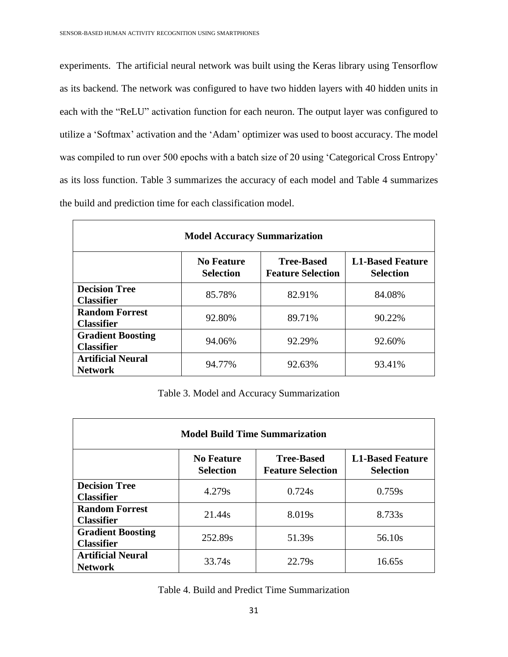experiments. The artificial neural network was built using the Keras library using Tensorflow as its backend. The network was configured to have two hidden layers with 40 hidden units in each with the "ReLU" activation function for each neuron. The output layer was configured to utilize a 'Softmax' activation and the 'Adam' optimizer was used to boost accuracy. The model was compiled to run over 500 epochs with a batch size of 20 using 'Categorical Cross Entropy' as its loss function. Table 3 summarizes the accuracy of each model and Table 4 summarizes the build and prediction time for each classification model.

| <b>Model Accuracy Summarization</b>                                                                                                   |        |        |        |  |  |
|---------------------------------------------------------------------------------------------------------------------------------------|--------|--------|--------|--|--|
| <b>L1-Based Feature</b><br><b>No Feature</b><br><b>Tree-Based</b><br><b>Feature Selection</b><br><b>Selection</b><br><b>Selection</b> |        |        |        |  |  |
| <b>Decision Tree</b><br><b>Classifier</b>                                                                                             | 85.78% | 82.91% | 84.08% |  |  |
| <b>Random Forrest</b><br><b>Classifier</b>                                                                                            | 92.80% | 89.71% | 90.22% |  |  |
| <b>Gradient Boosting</b><br><b>Classifier</b>                                                                                         | 94.06% | 92.29% | 92.60% |  |  |
| <b>Artificial Neural</b><br><b>Network</b>                                                                                            | 94.77% | 92.63% | 93.41% |  |  |

### Table 3. Model and Accuracy Summarization

| <b>Model Build Time Summarization</b>                                                                                          |         |        |        |  |  |  |
|--------------------------------------------------------------------------------------------------------------------------------|---------|--------|--------|--|--|--|
| <b>L1-Based Feature</b><br>No Feature<br><b>Tree-Based</b><br><b>Feature Selection</b><br><b>Selection</b><br><b>Selection</b> |         |        |        |  |  |  |
| <b>Decision Tree</b><br><b>Classifier</b>                                                                                      | 4.279s  | 0.724s | 0.759s |  |  |  |
| <b>Random Forrest</b><br><b>Classifier</b>                                                                                     | 21.44s  | 8.019s | 8.733s |  |  |  |
| <b>Gradient Boosting</b><br><b>Classifier</b>                                                                                  | 252.89s | 51.39s | 56.10s |  |  |  |
| <b>Artificial Neural</b><br><b>Network</b>                                                                                     | 33.74s  | 22.79s | 16.65s |  |  |  |

Table 4. Build and Predict Time Summarization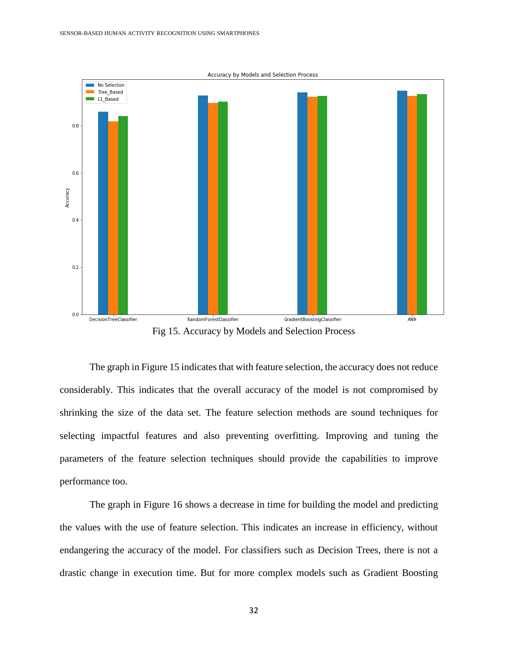



Fig 15. Accuracy by Models and Selection Process

The graph in Figure 15 indicates that with feature selection, the accuracy does not reduce considerably. This indicates that the overall accuracy of the model is not compromised by shrinking the size of the data set. The feature selection methods are sound techniques for selecting impactful features and also preventing overfitting. Improving and tuning the parameters of the feature selection techniques should provide the capabilities to improve performance too.

The graph in Figure 16 shows a decrease in time for building the model and predicting the values with the use of feature selection. This indicates an increase in efficiency, without endangering the accuracy of the model. For classifiers such as Decision Trees, there is not a drastic change in execution time. But for more complex models such as Gradient Boosting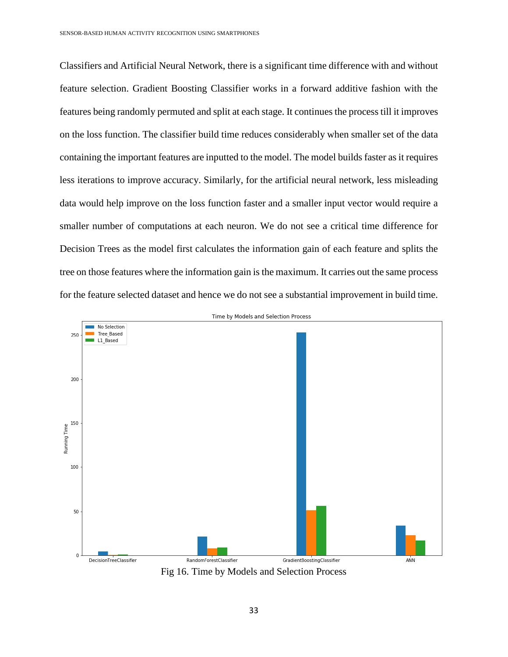Classifiers and Artificial Neural Network, there is a significant time difference with and without feature selection. Gradient Boosting Classifier works in a forward additive fashion with the features being randomly permuted and split at each stage. It continues the process till it improves on the loss function. The classifier build time reduces considerably when smaller set of the data containing the important features are inputted to the model. The model builds faster as it requires less iterations to improve accuracy. Similarly, for the artificial neural network, less misleading data would help improve on the loss function faster and a smaller input vector would require a smaller number of computations at each neuron. We do not see a critical time difference for Decision Trees as the model first calculates the information gain of each feature and splits the tree on those features where the information gain is the maximum. It carries out the same process for the feature selected dataset and hence we do not see a substantial improvement in build time.



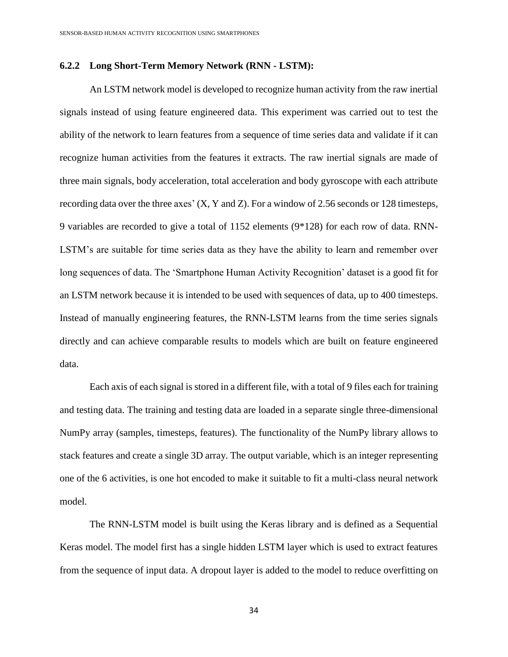### <span id="page-41-0"></span>**6.2.2 Long Short-Term Memory Network (RNN - LSTM):**

An LSTM network model is developed to recognize human activity from the raw inertial signals instead of using feature engineered data. This experiment was carried out to test the ability of the network to learn features from a sequence of time series data and validate if it can recognize human activities from the features it extracts. The raw inertial signals are made of three main signals, body acceleration, total acceleration and body gyroscope with each attribute recording data over the three axes' (X, Y and Z). For a window of 2.56 seconds or 128 timesteps, 9 variables are recorded to give a total of 1152 elements (9\*128) for each row of data. RNN-LSTM's are suitable for time series data as they have the ability to learn and remember over long sequences of data. The 'Smartphone Human Activity Recognition' dataset is a good fit for an LSTM network because it is intended to be used with sequences of data, up to 400 timesteps. Instead of manually engineering features, the RNN-LSTM learns from the time series signals directly and can achieve comparable results to models which are built on feature engineered data.

Each axis of each signal is stored in a different file, with a total of 9 files each for training and testing data. The training and testing data are loaded in a separate single three-dimensional NumPy array (samples, timesteps, features). The functionality of the NumPy library allows to stack features and create a single 3D array. The output variable, which is an integer representing one of the 6 activities, is one hot encoded to make it suitable to fit a multi-class neural network model.

The RNN-LSTM model is built using the Keras library and is defined as a Sequential Keras model. The model first has a single hidden LSTM layer which is used to extract features from the sequence of input data. A dropout layer is added to the model to reduce overfitting on

34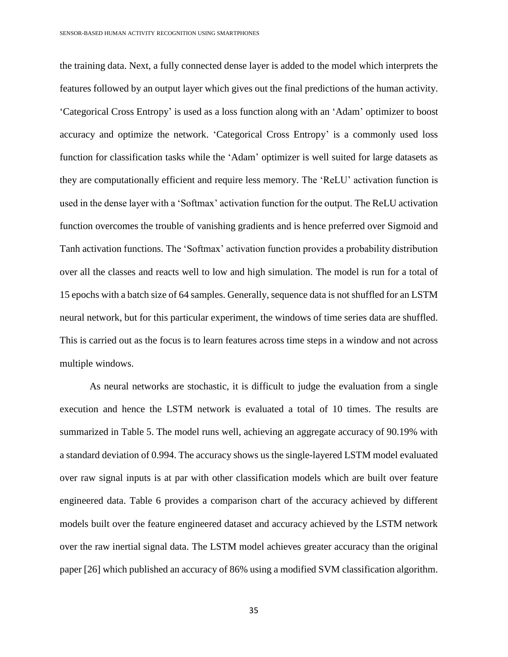the training data. Next, a fully connected dense layer is added to the model which interprets the features followed by an output layer which gives out the final predictions of the human activity. 'Categorical Cross Entropy' is used as a loss function along with an 'Adam' optimizer to boost accuracy and optimize the network. 'Categorical Cross Entropy' is a commonly used loss function for classification tasks while the 'Adam' optimizer is well suited for large datasets as they are computationally efficient and require less memory. The 'ReLU' activation function is used in the dense layer with a 'Softmax' activation function for the output. The ReLU activation function overcomes the trouble of vanishing gradients and is hence preferred over Sigmoid and Tanh activation functions. The 'Softmax' activation function provides a probability distribution over all the classes and reacts well to low and high simulation. The model is run for a total of 15 epochs with a batch size of 64 samples. Generally, sequence data is not shuffled for an LSTM neural network, but for this particular experiment, the windows of time series data are shuffled. This is carried out as the focus is to learn features across time steps in a window and not across multiple windows.

As neural networks are stochastic, it is difficult to judge the evaluation from a single execution and hence the LSTM network is evaluated a total of 10 times. The results are summarized in Table 5. The model runs well, achieving an aggregate accuracy of 90.19% with a standard deviation of 0.994. The accuracy shows us the single-layered LSTM model evaluated over raw signal inputs is at par with other classification models which are built over feature engineered data. Table 6 provides a comparison chart of the accuracy achieved by different models built over the feature engineered dataset and accuracy achieved by the LSTM network over the raw inertial signal data. The LSTM model achieves greater accuracy than the original paper [26] which published an accuracy of 86% using a modified SVM classification algorithm.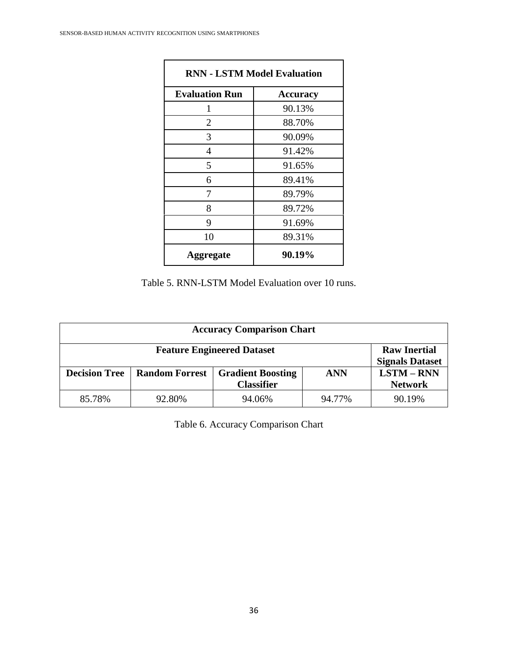| <b>RNN - LSTM Model Evaluation</b> |                 |  |  |
|------------------------------------|-----------------|--|--|
| <b>Evaluation Run</b>              | <b>Accuracy</b> |  |  |
| 1                                  | 90.13%          |  |  |
| 2                                  | 88.70%          |  |  |
| 3                                  | 90.09%          |  |  |
| 4                                  | 91.42%          |  |  |
| 5                                  | 91.65%          |  |  |
| 6                                  | 89.41%          |  |  |
| 7                                  | 89.79%          |  |  |
| 8                                  | 89.72%          |  |  |
| 9                                  | 91.69%          |  |  |
| 10                                 | 89.31%          |  |  |
| <b>Aggregate</b>                   | 90.19%          |  |  |

Table 5. RNN-LSTM Model Evaluation over 10 runs.

| <b>Accuracy Comparison Chart</b> |                                               |                                               |            |                                |  |  |
|----------------------------------|-----------------------------------------------|-----------------------------------------------|------------|--------------------------------|--|--|
|                                  | <b>Raw Inertial</b><br><b>Signals Dataset</b> |                                               |            |                                |  |  |
| <b>Decision Tree</b>             | <b>Random Forrest</b>                         | <b>Gradient Boosting</b><br><b>Classifier</b> | <b>ANN</b> | $LSTM - RNN$<br><b>Network</b> |  |  |
| 85.78%                           | 92.80%                                        | 94.06%                                        | 94.77%     | 90.19%                         |  |  |

Table 6. Accuracy Comparison Chart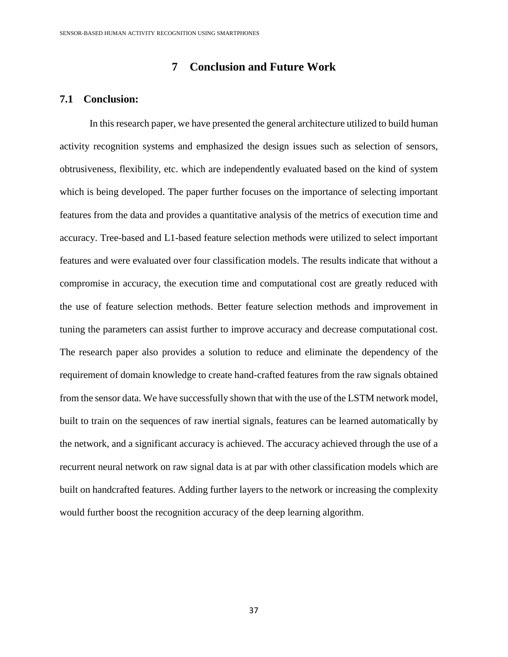## **7 Conclusion and Future Work**

#### <span id="page-44-1"></span><span id="page-44-0"></span>**7.1 Conclusion:**

In this research paper, we have presented the general architecture utilized to build human activity recognition systems and emphasized the design issues such as selection of sensors, obtrusiveness, flexibility, etc. which are independently evaluated based on the kind of system which is being developed. The paper further focuses on the importance of selecting important features from the data and provides a quantitative analysis of the metrics of execution time and accuracy. Tree-based and L1-based feature selection methods were utilized to select important features and were evaluated over four classification models. The results indicate that without a compromise in accuracy, the execution time and computational cost are greatly reduced with the use of feature selection methods. Better feature selection methods and improvement in tuning the parameters can assist further to improve accuracy and decrease computational cost. The research paper also provides a solution to reduce and eliminate the dependency of the requirement of domain knowledge to create hand-crafted features from the raw signals obtained from the sensor data. We have successfully shown that with the use of the LSTM network model, built to train on the sequences of raw inertial signals, features can be learned automatically by the network, and a significant accuracy is achieved. The accuracy achieved through the use of a recurrent neural network on raw signal data is at par with other classification models which are built on handcrafted features. Adding further layers to the network or increasing the complexity would further boost the recognition accuracy of the deep learning algorithm.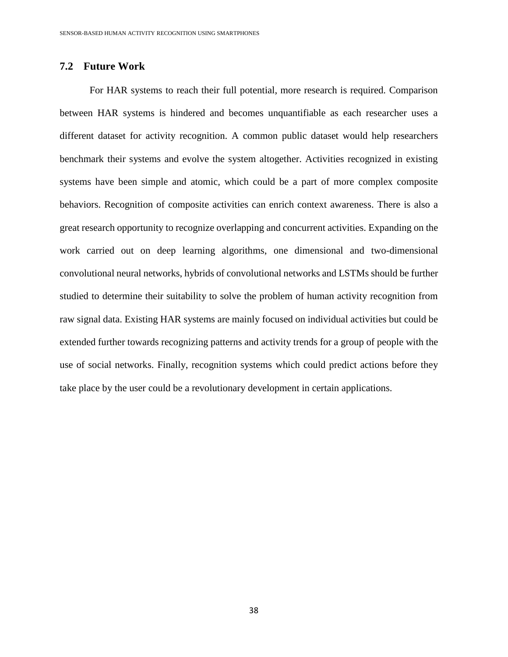### <span id="page-45-0"></span>**7.2 Future Work**

For HAR systems to reach their full potential, more research is required. Comparison between HAR systems is hindered and becomes unquantifiable as each researcher uses a different dataset for activity recognition. A common public dataset would help researchers benchmark their systems and evolve the system altogether. Activities recognized in existing systems have been simple and atomic, which could be a part of more complex composite behaviors. Recognition of composite activities can enrich context awareness. There is also a great research opportunity to recognize overlapping and concurrent activities. Expanding on the work carried out on deep learning algorithms, one dimensional and two-dimensional convolutional neural networks, hybrids of convolutional networks and LSTMs should be further studied to determine their suitability to solve the problem of human activity recognition from raw signal data. Existing HAR systems are mainly focused on individual activities but could be extended further towards recognizing patterns and activity trends for a group of people with the use of social networks. Finally, recognition systems which could predict actions before they take place by the user could be a revolutionary development in certain applications.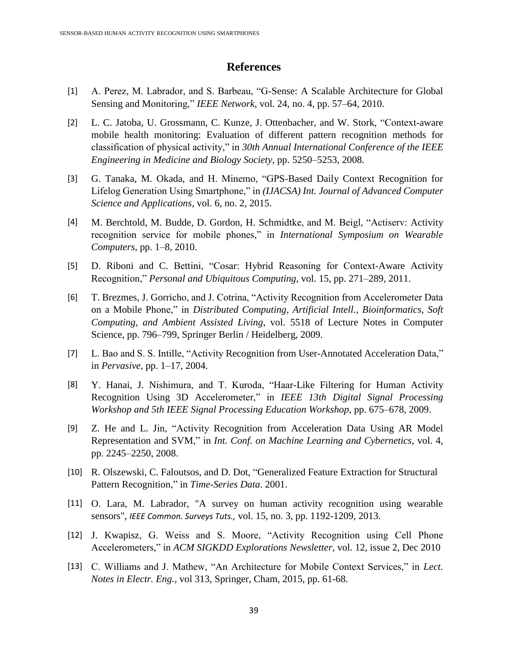## **References**

- <span id="page-46-0"></span>[1] A. Perez, M. Labrador, and S. Barbeau, "G-Sense: A Scalable Architecture for Global Sensing and Monitoring," *IEEE Network*, vol. 24, no. 4, pp. 57–64, 2010.
- [2] L. C. Jatoba, U. Grossmann, C. Kunze, J. Ottenbacher, and W. Stork, "Context-aware mobile health monitoring: Evaluation of different pattern recognition methods for classification of physical activity," in *30th Annual International Conference of the IEEE Engineering in Medicine and Biology Society*, pp. 5250–5253, 2008.
- [3] G. Tanaka, M. Okada, and H. Minemo, "GPS-Based Daily Context Recognition for Lifelog Generation Using Smartphone," in *(IJACSA) Int. Journal of Advanced Computer Science and Applications*, vol. 6, no. 2, 2015.
- [4] M. Berchtold, M. Budde, D. Gordon, H. Schmidtke, and M. Beigl, "Actiserv: Activity recognition service for mobile phones," in *International Symposium on Wearable Computers*, pp. 1–8, 2010.
- [5] D. Riboni and C. Bettini, "Cosar: Hybrid Reasoning for Context-Aware Activity Recognition," *Personal and Ubiquitous Computing*, vol. 15, pp. 271–289, 2011.
- [6] T. Brezmes, J. Gorricho, and J. Cotrina, "Activity Recognition from Accelerometer Data on a Mobile Phone," in *Distributed Computing, Artificial Intell., Bioinformatics, Soft Computing, and Ambient Assisted Living*, vol. 5518 of Lecture Notes in Computer Science, pp. 796–799, Springer Berlin / Heidelberg, 2009.
- [7] L. Bao and S. S. Intille, "Activity Recognition from User-Annotated Acceleration Data," in *Pervasive*, pp. 1–17, 2004.
- [8] Y. Hanai, J. Nishimura, and T. Kuroda, "Haar-Like Filtering for Human Activity Recognition Using 3D Accelerometer," in *IEEE 13th Digital Signal Processing Workshop and 5th IEEE Signal Processing Education Workshop*, pp. 675–678, 2009.
- [9] Z. He and L. Jin, "Activity Recognition from Acceleration Data Using AR Model Representation and SVM," in *Int. Conf. on Machine Learning and Cybernetics*, vol. 4, pp. 2245–2250, 2008.
- [10] R. Olszewski, C. Faloutsos, and D. Dot, "Generalized Feature Extraction for Structural Pattern Recognition," in *Time-Series Data*. 2001.
- [11] O. Lara, M. Labrador, "A survey on human activity recognition using wearable sensors", *IEEE Common. Surveys Tuts.,* vol. 15, no. 3, pp. 1192-1209, 2013.
- [12] J. Kwapisz, G. Weiss and S. Moore, "Activity Recognition using Cell Phone Accelerometers," in *ACM SIGKDD Explorations Newsletter,* vol. 12, issue 2, Dec 2010
- [13] C. Williams and J. Mathew, "An Architecture for Mobile Context Services," in *Lect. Notes in Electr. Eng.*, vol 313, Springer, Cham, 2015, pp. 61-68.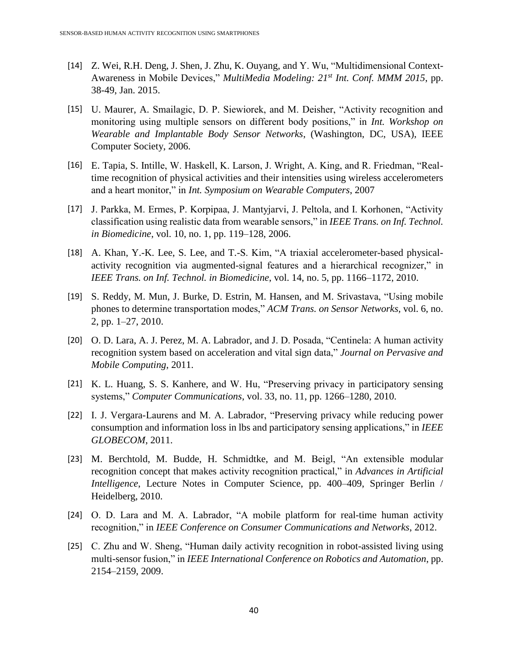- [14] Z. Wei, R.H. Deng, J. Shen, J. Zhu, K. Ouyang, and Y. Wu, "Multidimensional Context-Awareness in Mobile Devices," *MultiMedia Modeling: 21st Int. Conf. MMM 2015*, pp. 38-49, Jan. 2015.
- [15] U. Maurer, A. Smailagic, D. P. Siewiorek, and M. Deisher, "Activity recognition and monitoring using multiple sensors on different body positions," in *Int. Workshop on Wearable and Implantable Body Sensor Networks*, (Washington, DC, USA), IEEE Computer Society, 2006.
- [16] E. Tapia, S. Intille, W. Haskell, K. Larson, J. Wright, A. King, and R. Friedman, "Realtime recognition of physical activities and their intensities using wireless accelerometers and a heart monitor," in *Int. Symposium on Wearable Computers*, 2007
- [17] J. Parkka, M. Ermes, P. Korpipaa, J. Mantyjarvi, J. Peltola, and I. Korhonen, "Activity classification using realistic data from wearable sensors," in *IEEE Trans. on Inf. Technol. in Biomedicine*, vol. 10, no. 1, pp. 119–128, 2006.
- [18] A. Khan, Y.-K. Lee, S. Lee, and T.-S. Kim, "A triaxial accelerometer-based physicalactivity recognition via augmented-signal features and a hierarchical recognizer," in *IEEE Trans. on Inf. Technol. in Biomedicine*, vol. 14, no. 5, pp. 1166–1172, 2010.
- [19] S. Reddy, M. Mun, J. Burke, D. Estrin, M. Hansen, and M. Srivastava, "Using mobile phones to determine transportation modes," *ACM Trans. on Sensor Networks,* vol. 6, no. 2, pp. 1–27, 2010.
- [20] O. D. Lara, A. J. Perez, M. A. Labrador, and J. D. Posada, "Centinela: A human activity recognition system based on acceleration and vital sign data," *Journal on Pervasive and Mobile Computing*, 2011.
- [21] K. L. Huang, S. S. Kanhere, and W. Hu, "Preserving privacy in participatory sensing systems," *Computer Communications*, vol. 33, no. 11, pp. 1266–1280, 2010.
- [22] I. J. Vergara-Laurens and M. A. Labrador, "Preserving privacy while reducing power consumption and information loss in lbs and participatory sensing applications," in *IEEE GLOBECOM*, 2011.
- [23] M. Berchtold, M. Budde, H. Schmidtke, and M. Beigl, "An extensible modular recognition concept that makes activity recognition practical," in *Advances in Artificial Intelligence*, Lecture Notes in Computer Science, pp. 400–409, Springer Berlin / Heidelberg, 2010.
- [24] O. D. Lara and M. A. Labrador, "A mobile platform for real-time human activity recognition," in *IEEE Conference on Consumer Communications and Networks*, 2012.
- [25] C. Zhu and W. Sheng, "Human daily activity recognition in robot-assisted living using multi-sensor fusion," in *IEEE International Conference on Robotics and Automation*, pp. 2154–2159, 2009.